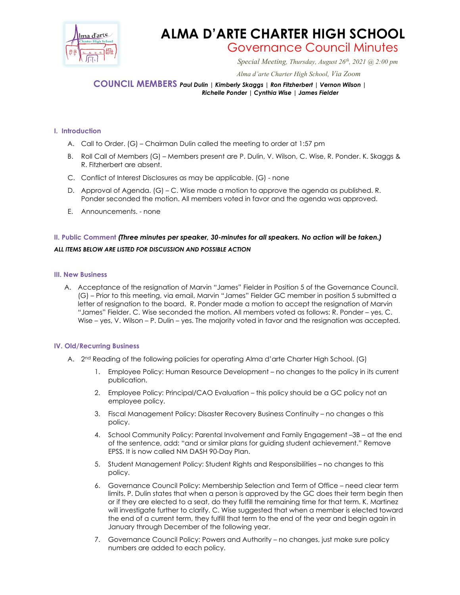

# **ALMA D'ARTE CHARTER HIGH SCHOOL** Governance Council Minutes

*Special Meeting, Thursday, August 26th, 2021 @ 2:00 pm*

 *Alma d'arte Charter High School, Via Zoom*

### **COUNCIL MEMBERS** *Paul Dulin | Kimberly Skaggs | Ron Fitzherbert <sup>|</sup> Vernon Wilson | Richelle Ponder | Cynthia Wise | James Fielder*

#### **I. Introduction**

- A. Call to Order. (G) Chairman Dulin called the meeting to order at 1:57 pm
- B. Roll Call of Members (G) Members present are P. Dulin, V. Wilson, C. Wise, R. Ponder. K. Skaggs & R. Fitzherbert are absent.
- C. Conflict of Interest Disclosures as may be applicable. (G) none
- D. Approval of Agenda. (G) C. Wise made a motion to approve the agenda as published. R. Ponder seconded the motion. All members voted in favor and the agenda was approved.
- E. Announcements. none

## **II. Public Comment** *(Three minutes per speaker, 30-minutes for all speakers. No action will be taken.) ALL ITEMS BELOW ARE LISTED FOR DISCUSSION AND POSSIBLE ACTION*

#### **III. New Business**

A. Acceptance of the resignation of Marvin "James" Fielder in Position 5 of the Governance Council. (G) – Prior to this meeting, via email, Marvin "James" Fielder GC member in position 5 submitted a letter of resignation to the board. R. Ponder made a motion to accept the resignation of Marvin "James" Fielder. C. Wise seconded the motion. All members voted as follows: R. Ponder – yes, C. Wise – yes, V. Wilson – P. Dulin – yes. The majority voted in favor and the resignation was accepted.

#### **IV. Old/Recurring Business**

- A. 2<sup>nd</sup> Reading of the following policies for operating Alma d'arte Charter High School. (G)
	- 1. Employee Policy: Human Resource Development no changes to the policy in its current publication.
	- 2. Employee Policy: Principal/CAO Evaluation this policy should be a GC policy not an employee policy.
	- 3. Fiscal Management Policy: Disaster Recovery Business Continuity no changes o this policy.
	- 4. School Community Policy: Parental Involvement and Family Engagement –3B at the end of the sentence, add: "and or similar plans for guiding student achievement." Remove EPSS. It is now called NM DASH 90-Day Plan.
	- 5. Student Management Policy: Student Rights and Responsibilities no changes to this policy.
	- 6. Governance Council Policy: Membership Selection and Term of Office need clear term limits. P. Dulin states that when a person is approved by the GC does their term begin then or if they are elected to a seat, do they fulfill the remaining time for that term. K. Martinez will investigate further to clarify. C. Wise suggested that when a member is elected toward the end of a current term, they fulfill that term to the end of the year and begin again in January through December of the following year.
	- 7. Governance Council Policy: Powers and Authority no changes, just make sure policy numbers are added to each policy.